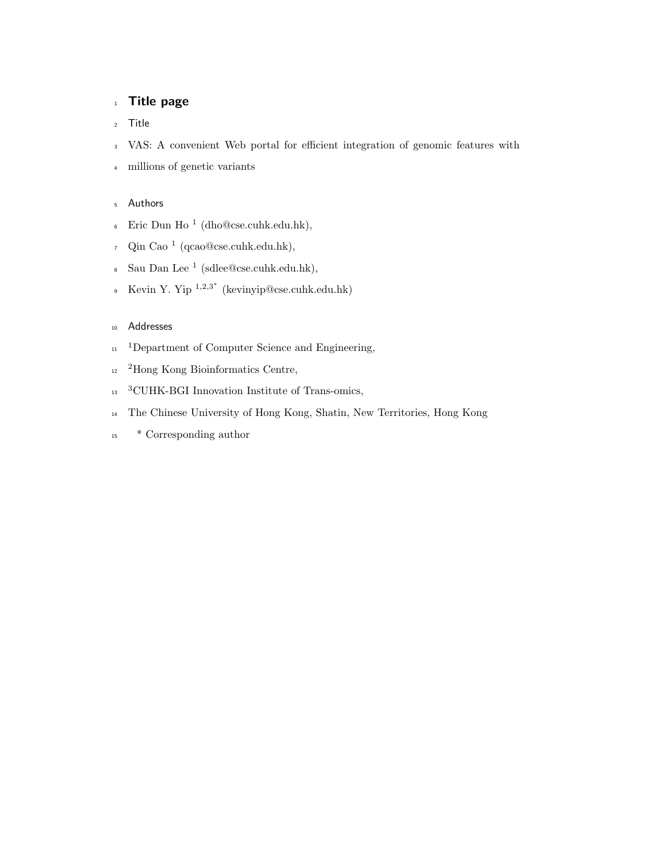# 1 Title page

- Title
- VAS: A convenient Web portal for efficient integration of genomic features with
- millions of genetic variants
- Authors
- Eric Dun Ho<sup>1</sup> (dho@cse.cuhk.edu.hk),
- $\gamma$  Qin Cao<sup>1</sup> (qcao@cse.cuhk.edu.hk),
- Sau Dan Lee<sup>1</sup> (sdlee@cse.cuhk.edu.hk),
- Kevin Y. Yip <sup>1</sup>,2,<sup>3</sup> ∗ (kevinyip@cse.cuhk.edu.hk)

## Addresses

- Department of Computer Science and Engineering,
- Hong Kong Bioinformatics Centre,
- <sup>3</sup>CUHK-BGI Innovation Institute of Trans-omics,
- The Chinese University of Hong Kong, Shatin, New Territories, Hong Kong
- \* Corresponding author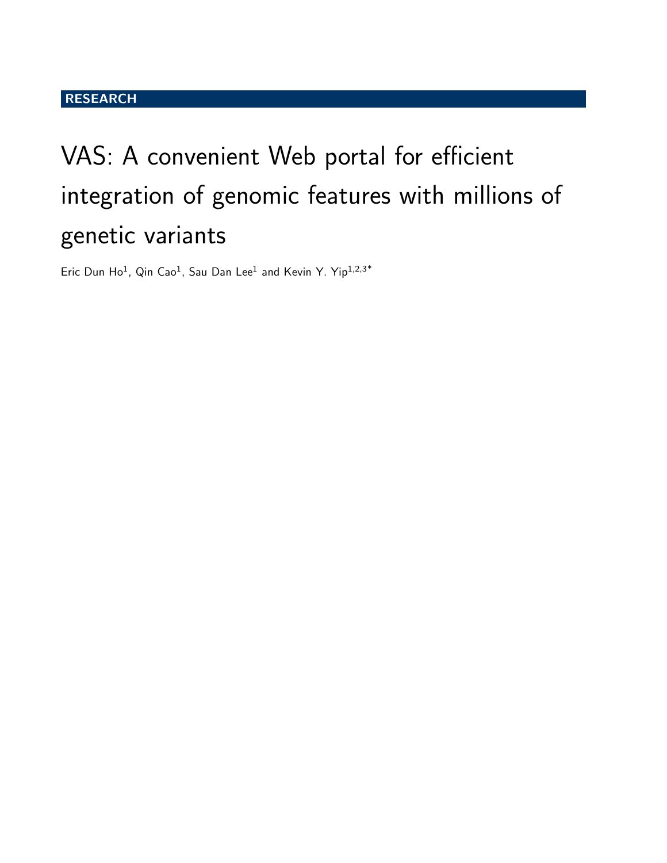# VAS: A convenient Web portal for efficient integration of genomic features with millions of genetic variants

Eric Dun Ho<sup>1</sup>, Qin Cao<sup>1</sup>, Sau Dan Lee<sup>1</sup> and Kevin Y. Yip<sup>1,2,3\*</sup>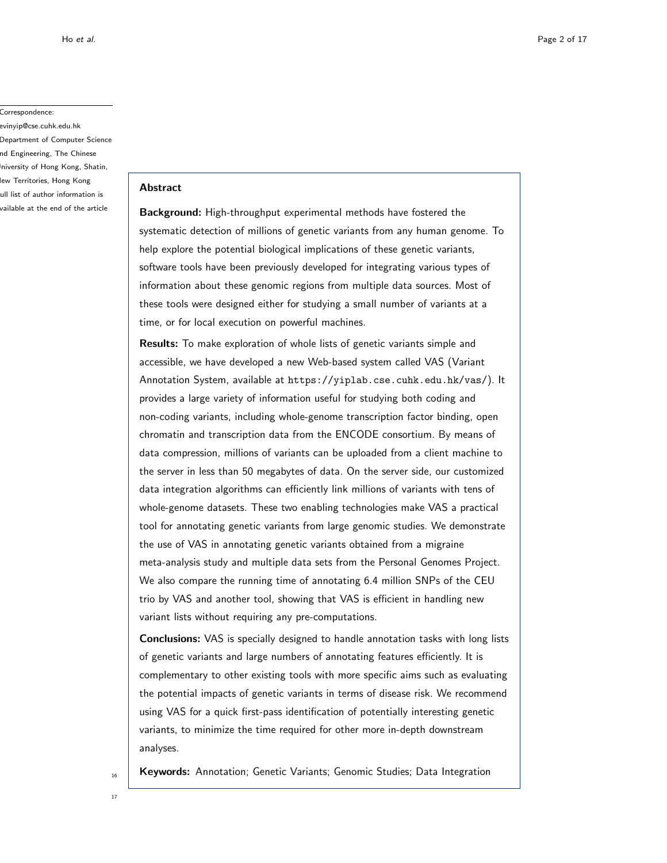# Correspondence:

kevinyip@cse.cuhk.edu.hk Department of Computer Science and Engineering, The Chinese University of Hong Kong, Shatin, lew Territories, Hong Kong ull list of author information is available at the end of the article

# **Abstract**

Background: High-throughput experimental methods have fostered the systematic detection of millions of genetic variants from any human genome. To help explore the potential biological implications of these genetic variants, software tools have been previously developed for integrating various types of information about these genomic regions from multiple data sources. Most of these tools were designed either for studying a small number of variants at a time, or for local execution on powerful machines.

Results: To make exploration of whole lists of genetic variants simple and accessible, we have developed a new Web-based system called VAS (Variant Annotation System, available at https://yiplab.cse.cuhk.edu.hk/vas/). It provides a large variety of information useful for studying both coding and non-coding variants, including whole-genome transcription factor binding, open chromatin and transcription data from the ENCODE consortium. By means of data compression, millions of variants can be uploaded from a client machine to the server in less than 50 megabytes of data. On the server side, our customized data integration algorithms can efficiently link millions of variants with tens of whole-genome datasets. These two enabling technologies make VAS a practical tool for annotating genetic variants from large genomic studies. We demonstrate the use of VAS in annotating genetic variants obtained from a migraine meta-analysis study and multiple data sets from the Personal Genomes Project. We also compare the running time of annotating 6.4 million SNPs of the CEU trio by VAS and another tool, showing that VAS is efficient in handling new variant lists without requiring any pre-computations.

Conclusions: VAS is specially designed to handle annotation tasks with long lists of genetic variants and large numbers of annotating features efficiently. It is complementary to other existing tools with more specific aims such as evaluating the potential impacts of genetic variants in terms of disease risk. We recommend using VAS for a quick first-pass identification of potentially interesting genetic variants, to minimize the time required for other more in-depth downstream analyses.

 $_{16}$  Keywords: Annotation; Genetic Variants; Genomic Studies; Data Integration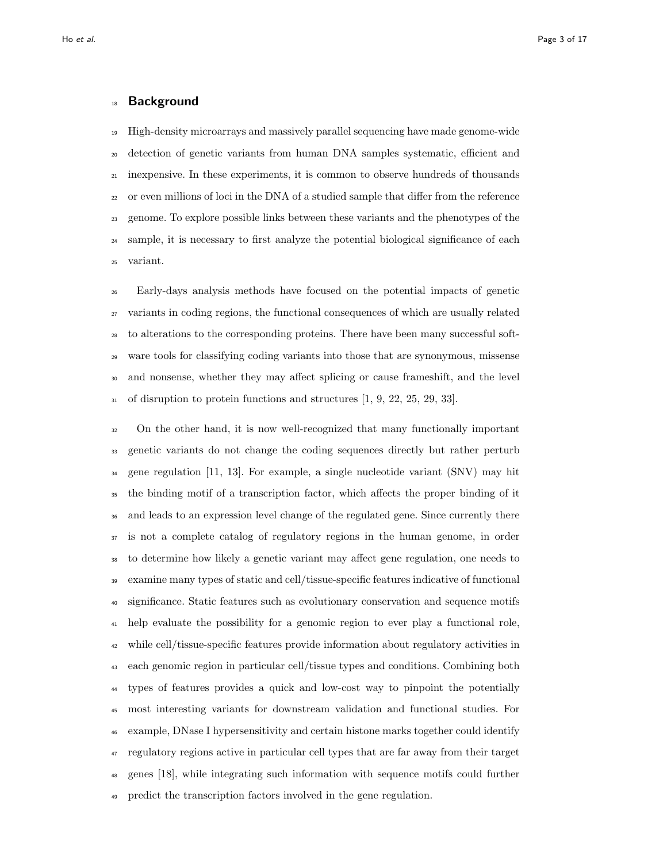# 18 Background

 High-density microarrays and massively parallel sequencing have made genome-wide detection of genetic variants from human DNA samples systematic, efficient and inexpensive. In these experiments, it is common to observe hundreds of thousands or even millions of loci in the DNA of a studied sample that differ from the reference genome. To explore possible links between these variants and the phenotypes of the sample, it is necessary to first analyze the potential biological significance of each variant.

 Early-days analysis methods have focused on the potential impacts of genetic variants in coding regions, the functional consequences of which are usually related to alterations to the corresponding proteins. There have been many successful soft- ware tools for classifying coding variants into those that are synonymous, missense and nonsense, whether they may affect splicing or cause frameshift, and the level of disruption to protein functions and structures [1, 9, 22, 25, 29, 33].

 On the other hand, it is now well-recognized that many functionally important genetic variants do not change the coding sequences directly but rather perturb gene regulation [11, 13]. For example, a single nucleotide variant (SNV) may hit the binding motif of a transcription factor, which affects the proper binding of it <sup>36</sup> and leads to an expression level change of the regulated gene. Since currently there is not a complete catalog of regulatory regions in the human genome, in order to determine how likely a genetic variant may affect gene regulation, one needs to examine many types of static and cell/tissue-specific features indicative of functional significance. Static features such as evolutionary conservation and sequence motifs help evaluate the possibility for a genomic region to ever play a functional role, while cell/tissue-specific features provide information about regulatory activities in each genomic region in particular cell/tissue types and conditions. Combining both types of features provides a quick and low-cost way to pinpoint the potentially most interesting variants for downstream validation and functional studies. For example, DNase I hypersensitivity and certain histone marks together could identify regulatory regions active in particular cell types that are far away from their target genes [18], while integrating such information with sequence motifs could further predict the transcription factors involved in the gene regulation.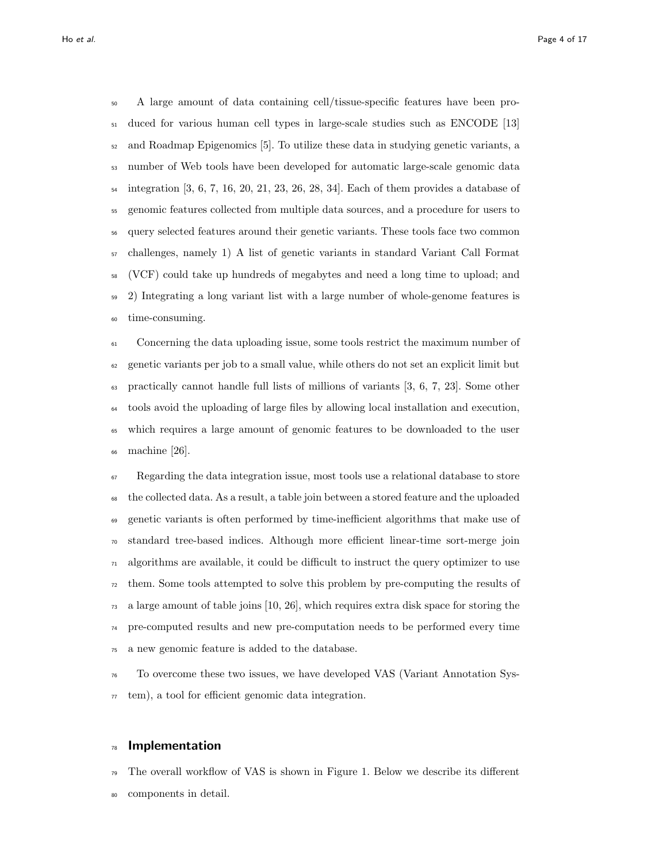A large amount of data containing cell/tissue-specific features have been pro- duced for various human cell types in large-scale studies such as ENCODE [13] and Roadmap Epigenomics [5]. To utilize these data in studying genetic variants, a number of Web tools have been developed for automatic large-scale genomic data integration [3, 6, 7, 16, 20, 21, 23, 26, 28, 34]. Each of them provides a database of genomic features collected from multiple data sources, and a procedure for users to query selected features around their genetic variants. These tools face two common challenges, namely 1) A list of genetic variants in standard Variant Call Format (VCF) could take up hundreds of megabytes and need a long time to upload; and 2) Integrating a long variant list with a large number of whole-genome features is time-consuming.

 Concerning the data uploading issue, some tools restrict the maximum number of  $\epsilon_2$  genetic variants per job to a small value, while others do not set an explicit limit but  $\epsilon_{\rm s}$  practically cannot handle full lists of millions of variants [3, 6, 7, 23]. Some other tools avoid the uploading of large files by allowing local installation and execution, which requires a large amount of genomic features to be downloaded to the user machine [26].

 Regarding the data integration issue, most tools use a relational database to store the collected data. As a result, a table join between a stored feature and the uploaded genetic variants is often performed by time-inefficient algorithms that make use of standard tree-based indices. Although more efficient linear-time sort-merge join algorithms are available, it could be difficult to instruct the query optimizer to use them. Some tools attempted to solve this problem by pre-computing the results of a large amount of table joins [10, 26], which requires extra disk space for storing the pre-computed results and new pre-computation needs to be performed every time a new genomic feature is added to the database.

 To overcome these two issues, we have developed VAS (Variant Annotation Sys- $\pi$  tem), a tool for efficient genomic data integration.

## Implementation

 The overall workflow of VAS is shown in Figure 1. Below we describe its different components in detail.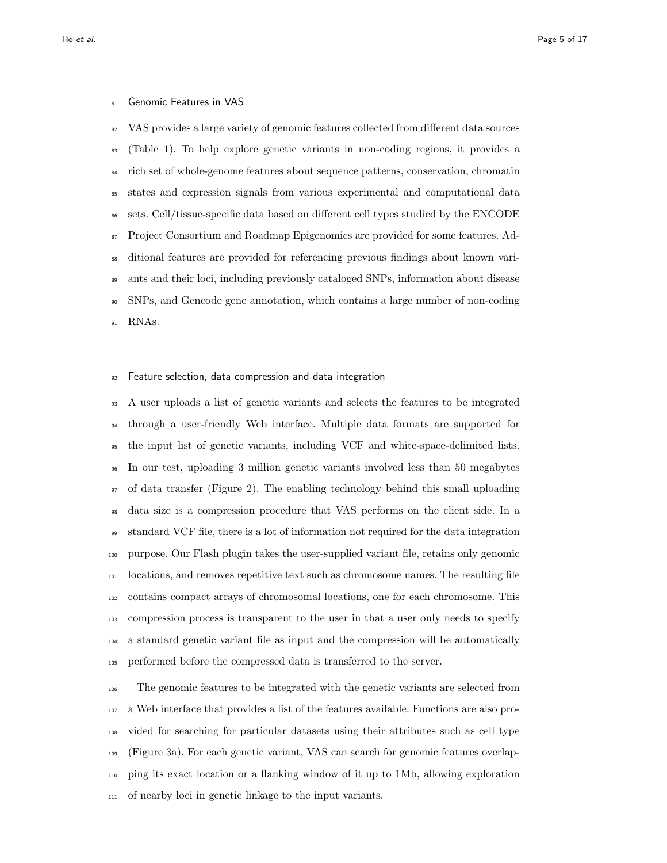## 81 Genomic Features in VAS

 VAS provides a large variety of genomic features collected from different data sources (Table 1). To help explore genetic variants in non-coding regions, it provides a <sup>84</sup> rich set of whole-genome features about sequence patterns, conservation, chromatin states and expression signals from various experimental and computational data sets. Cell/tissue-specific data based on different cell types studied by the ENCODE Project Consortium and Roadmap Epigenomics are provided for some features. Ad- ditional features are provided for referencing previous findings about known vari- ants and their loci, including previously cataloged SNPs, information about disease SNPs, and Gencode gene annotation, which contains a large number of non-coding 91 RNAs.

#### 92 Feature selection, data compression and data integration

 A user uploads a list of genetic variants and selects the features to be integrated through a user-friendly Web interface. Multiple data formats are supported for the input list of genetic variants, including VCF and white-space-delimited lists. In our test, uploading 3 million genetic variants involved less than 50 megabytes of data transfer (Figure 2). The enabling technology behind this small uploading data size is a compression procedure that VAS performs on the client side. In a standard VCF file, there is a lot of information not required for the data integration purpose. Our Flash plugin takes the user-supplied variant file, retains only genomic locations, and removes repetitive text such as chromosome names. The resulting file contains compact arrays of chromosomal locations, one for each chromosome. This compression process is transparent to the user in that a user only needs to specify a standard genetic variant file as input and the compression will be automatically performed before the compressed data is transferred to the server.

 The genomic features to be integrated with the genetic variants are selected from a Web interface that provides a list of the features available. Functions are also pro- vided for searching for particular datasets using their attributes such as cell type (Figure 3a). For each genetic variant, VAS can search for genomic features overlap- ping its exact location or a flanking window of it up to 1Mb, allowing exploration of nearby loci in genetic linkage to the input variants.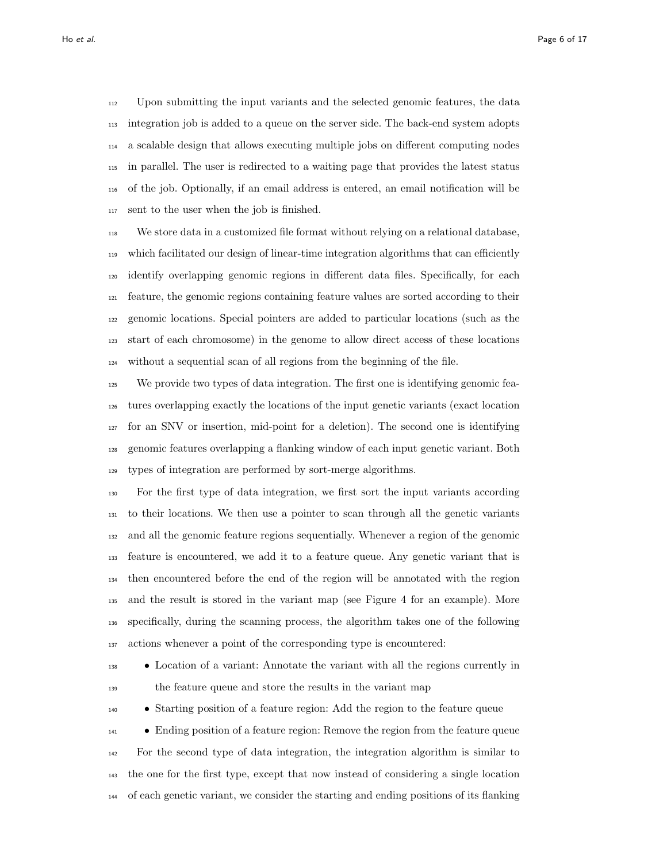Upon submitting the input variants and the selected genomic features, the data integration job is added to a queue on the server side. The back-end system adopts a scalable design that allows executing multiple jobs on different computing nodes in parallel. The user is redirected to a waiting page that provides the latest status of the job. Optionally, if an email address is entered, an email notification will be sent to the user when the job is finished.

 We store data in a customized file format without relying on a relational database, which facilitated our design of linear-time integration algorithms that can efficiently identify overlapping genomic regions in different data files. Specifically, for each feature, the genomic regions containing feature values are sorted according to their genomic locations. Special pointers are added to particular locations (such as the start of each chromosome) in the genome to allow direct access of these locations without a sequential scan of all regions from the beginning of the file.

 We provide two types of data integration. The first one is identifying genomic fea- tures overlapping exactly the locations of the input genetic variants (exact location for an SNV or insertion, mid-point for a deletion). The second one is identifying genomic features overlapping a flanking window of each input genetic variant. Both types of integration are performed by sort-merge algorithms.

 For the first type of data integration, we first sort the input variants according to their locations. We then use a pointer to scan through all the genetic variants and all the genomic feature regions sequentially. Whenever a region of the genomic feature is encountered, we add it to a feature queue. Any genetic variant that is then encountered before the end of the region will be annotated with the region and the result is stored in the variant map (see Figure 4 for an example). More specifically, during the scanning process, the algorithm takes one of the following actions whenever a point of the corresponding type is encountered:

- Location of a variant: Annotate the variant with all the regions currently in
- the feature queue and store the results in the variant map

• Starting position of a feature region: Add the region to the feature queue

 • Ending position of a feature region: Remove the region from the feature queue For the second type of data integration, the integration algorithm is similar to the one for the first type, except that now instead of considering a single location of each genetic variant, we consider the starting and ending positions of its flanking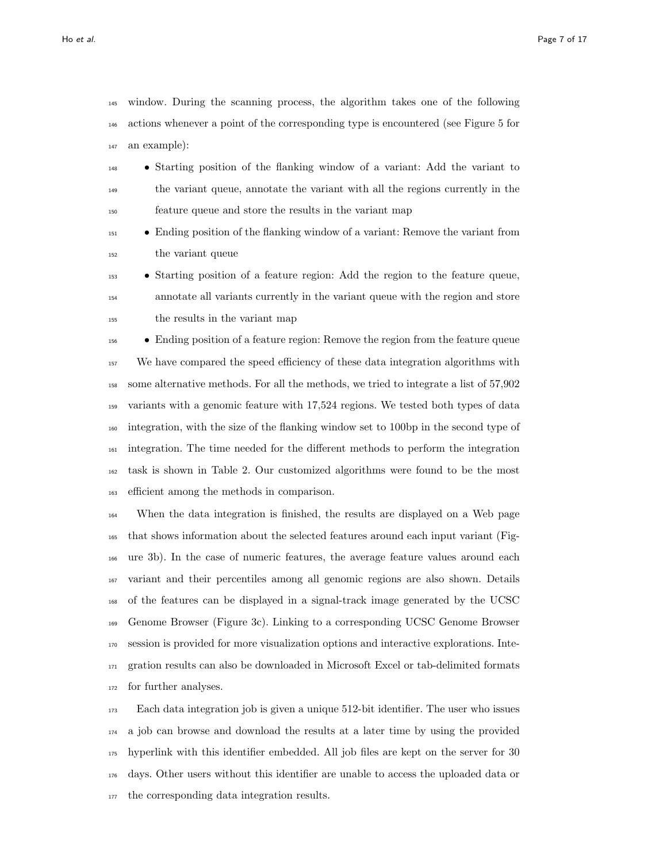window. During the scanning process, the algorithm takes one of the following actions whenever a point of the corresponding type is encountered (see Figure 5 for an example):

 • Starting position of the flanking window of a variant: Add the variant to the variant queue, annotate the variant with all the regions currently in the feature queue and store the results in the variant map

 • Ending position of the flanking window of a variant: Remove the variant from the variant queue

 • Starting position of a feature region: Add the region to the feature queue, annotate all variants currently in the variant queue with the region and store the results in the variant map

 • Ending position of a feature region: Remove the region from the feature queue We have compared the speed efficiency of these data integration algorithms with some alternative methods. For all the methods, we tried to integrate a list of 57,902 variants with a genomic feature with 17,524 regions. We tested both types of data integration, with the size of the flanking window set to 100bp in the second type of integration. The time needed for the different methods to perform the integration task is shown in Table 2. Our customized algorithms were found to be the most efficient among the methods in comparison.

 When the data integration is finished, the results are displayed on a Web page that shows information about the selected features around each input variant (Fig- ure 3b). In the case of numeric features, the average feature values around each variant and their percentiles among all genomic regions are also shown. Details of the features can be displayed in a signal-track image generated by the UCSC Genome Browser (Figure 3c). Linking to a corresponding UCSC Genome Browser session is provided for more visualization options and interactive explorations. Inte- gration results can also be downloaded in Microsoft Excel or tab-delimited formats for further analyses.

 Each data integration job is given a unique 512-bit identifier. The user who issues a job can browse and download the results at a later time by using the provided hyperlink with this identifier embedded. All job files are kept on the server for 30 days. Other users without this identifier are unable to access the uploaded data or the corresponding data integration results.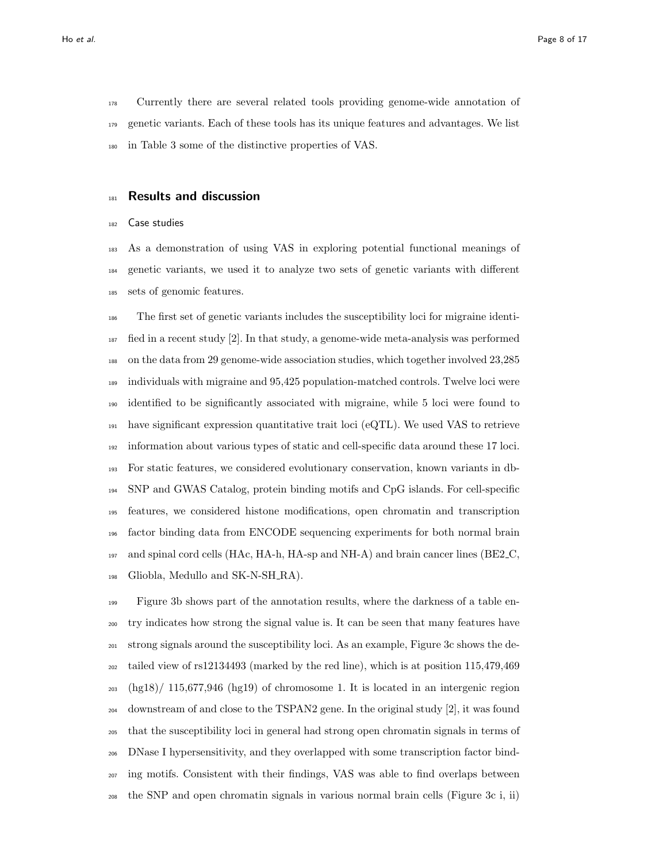Currently there are several related tools providing genome-wide annotation of genetic variants. Each of these tools has its unique features and advantages. We list in Table 3 some of the distinctive properties of VAS.

## 181 Results and discussion

#### 182 Case studies

 As a demonstration of using VAS in exploring potential functional meanings of genetic variants, we used it to analyze two sets of genetic variants with different sets of genomic features.

 The first set of genetic variants includes the susceptibility loci for migraine identi- fied in a recent study [2]. In that study, a genome-wide meta-analysis was performed on the data from 29 genome-wide association studies, which together involved 23,285 individuals with migraine and 95,425 population-matched controls. Twelve loci were identified to be significantly associated with migraine, while 5 loci were found to have significant expression quantitative trait loci (eQTL). We used VAS to retrieve information about various types of static and cell-specific data around these 17 loci. For static features, we considered evolutionary conservation, known variants in db- SNP and GWAS Catalog, protein binding motifs and CpG islands. For cell-specific features, we considered histone modifications, open chromatin and transcription factor binding data from ENCODE sequencing experiments for both normal brain and spinal cord cells (HAc, HA-h, HA-sp and NH-A) and brain cancer lines (BE2 C, 198 Gliobla, Medullo and SK-N-SH<sub>-RA</sub>).

 Figure 3b shows part of the annotation results, where the darkness of a table en- try indicates how strong the signal value is. It can be seen that many features have strong signals around the susceptibility loci. As an example, Figure 3c shows the de- tailed view of rs12134493 (marked by the red line), which is at position 115,479,469  $_{203}$  (hg18)/ 115,677,946 (hg19) of chromosome 1. It is located in an intergenic region downstream of and close to the TSPAN2 gene. In the original study [2], it was found that the susceptibility loci in general had strong open chromatin signals in terms of DNase I hypersensitivity, and they overlapped with some transcription factor bind- ing motifs. Consistent with their findings, VAS was able to find overlaps between the SNP and open chromatin signals in various normal brain cells (Figure 3c i, ii)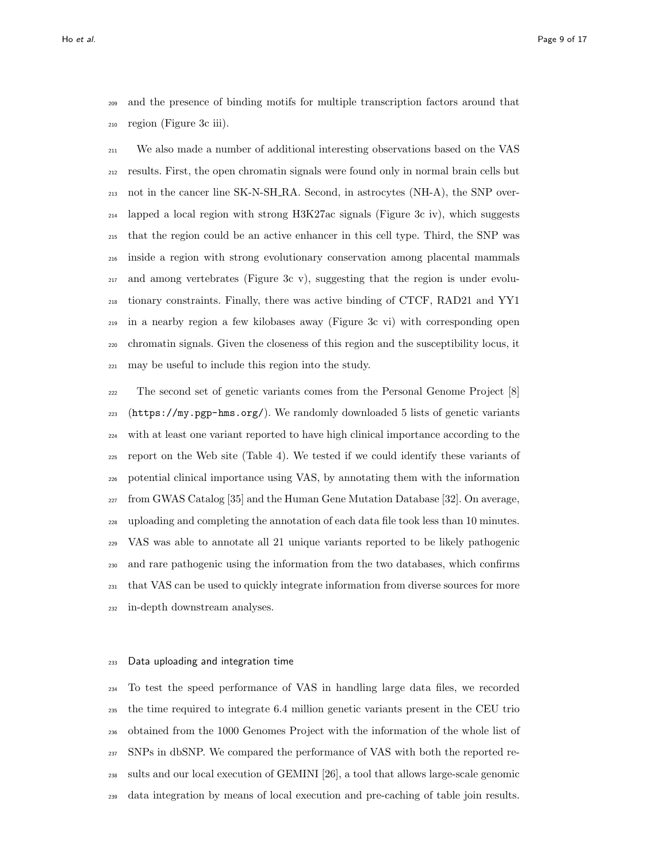and the presence of binding motifs for multiple transcription factors around that region (Figure 3c iii).

 We also made a number of additional interesting observations based on the VAS results. First, the open chromatin signals were found only in normal brain cells but not in the cancer line SK-N-SH RA. Second, in astrocytes (NH-A), the SNP over- lapped a local region with strong H3K27ac signals (Figure 3c iv), which suggests that the region could be an active enhancer in this cell type. Third, the SNP was inside a region with strong evolutionary conservation among placental mammals and among vertebrates (Figure 3c v), suggesting that the region is under evolu- tionary constraints. Finally, there was active binding of CTCF, RAD21 and YY1 in a nearby region a few kilobases away (Figure 3c vi) with corresponding open chromatin signals. Given the closeness of this region and the susceptibility locus, it may be useful to include this region into the study.

 The second set of genetic variants comes from the Personal Genome Project [8] 223 (https://my.pgp-hms.org/). We randomly downloaded 5 lists of genetic variants with at least one variant reported to have high clinical importance according to the report on the Web site (Table 4). We tested if we could identify these variants of potential clinical importance using VAS, by annotating them with the information from GWAS Catalog [35] and the Human Gene Mutation Database [32]. On average, uploading and completing the annotation of each data file took less than 10 minutes. VAS was able to annotate all 21 unique variants reported to be likely pathogenic and rare pathogenic using the information from the two databases, which confirms that VAS can be used to quickly integrate information from diverse sources for more in-depth downstream analyses.

### Data uploading and integration time

 To test the speed performance of VAS in handling large data files, we recorded the time required to integrate 6.4 million genetic variants present in the CEU trio obtained from the 1000 Genomes Project with the information of the whole list of SNPs in dbSNP. We compared the performance of VAS with both the reported re- sults and our local execution of GEMINI [26], a tool that allows large-scale genomic data integration by means of local execution and pre-caching of table join results.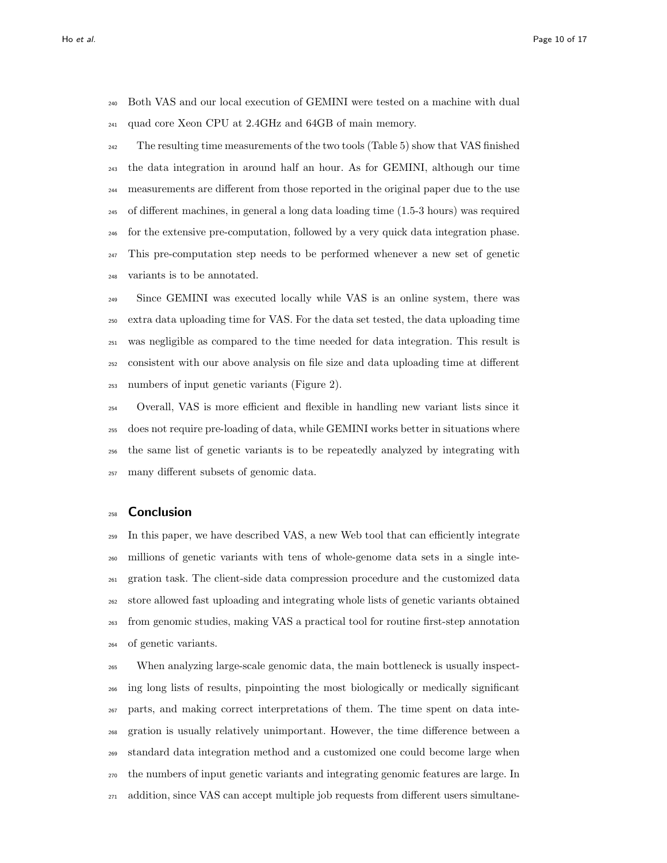Both VAS and our local execution of GEMINI were tested on a machine with dual quad core Xeon CPU at 2.4GHz and 64GB of main memory.

 The resulting time measurements of the two tools (Table 5) show that VAS finished the data integration in around half an hour. As for GEMINI, although our time measurements are different from those reported in the original paper due to the use of different machines, in general a long data loading time (1.5-3 hours) was required for the extensive pre-computation, followed by a very quick data integration phase. This pre-computation step needs to be performed whenever a new set of genetic variants is to be annotated.

 Since GEMINI was executed locally while VAS is an online system, there was extra data uploading time for VAS. For the data set tested, the data uploading time was negligible as compared to the time needed for data integration. This result is consistent with our above analysis on file size and data uploading time at different numbers of input genetic variants (Figure 2).

 Overall, VAS is more efficient and flexible in handling new variant lists since it does not require pre-loading of data, while GEMINI works better in situations where the same list of genetic variants is to be repeatedly analyzed by integrating with many different subsets of genomic data.

## Conclusion

 In this paper, we have described VAS, a new Web tool that can efficiently integrate millions of genetic variants with tens of whole-genome data sets in a single inte- gration task. The client-side data compression procedure and the customized data store allowed fast uploading and integrating whole lists of genetic variants obtained from genomic studies, making VAS a practical tool for routine first-step annotation of genetic variants.

 When analyzing large-scale genomic data, the main bottleneck is usually inspect- ing long lists of results, pinpointing the most biologically or medically significant parts, and making correct interpretations of them. The time spent on data inte- gration is usually relatively unimportant. However, the time difference between a standard data integration method and a customized one could become large when the numbers of input genetic variants and integrating genomic features are large. In addition, since VAS can accept multiple job requests from different users simultane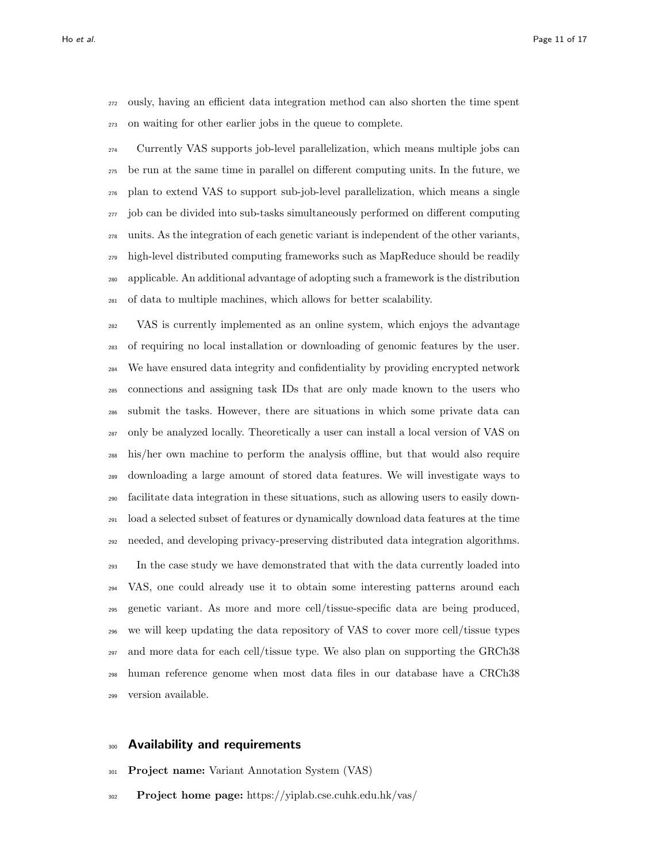ously, having an efficient data integration method can also shorten the time spent on waiting for other earlier jobs in the queue to complete.

 Currently VAS supports job-level parallelization, which means multiple jobs can be run at the same time in parallel on different computing units. In the future, we plan to extend VAS to support sub-job-level parallelization, which means a single job can be divided into sub-tasks simultaneously performed on different computing units. As the integration of each genetic variant is independent of the other variants, high-level distributed computing frameworks such as MapReduce should be readily applicable. An additional advantage of adopting such a framework is the distribution of data to multiple machines, which allows for better scalability.

 VAS is currently implemented as an online system, which enjoys the advantage of requiring no local installation or downloading of genomic features by the user. We have ensured data integrity and confidentiality by providing encrypted network connections and assigning task IDs that are only made known to the users who submit the tasks. However, there are situations in which some private data can only be analyzed locally. Theoretically a user can install a local version of VAS on his/her own machine to perform the analysis offline, but that would also require downloading a large amount of stored data features. We will investigate ways to facilitate data integration in these situations, such as allowing users to easily down- load a selected subset of features or dynamically download data features at the time needed, and developing privacy-preserving distributed data integration algorithms. In the case study we have demonstrated that with the data currently loaded into VAS, one could already use it to obtain some interesting patterns around each genetic variant. As more and more cell/tissue-specific data are being produced, we will keep updating the data repository of VAS to cover more cell/tissue types and more data for each cell/tissue type. We also plan on supporting the GRCh38 human reference genome when most data files in our database have a CRCh38 version available.

### Availability and requirements

- Project name: Variant Annotation System (VAS)
- Project home page: https://yiplab.cse.cuhk.edu.hk/vas/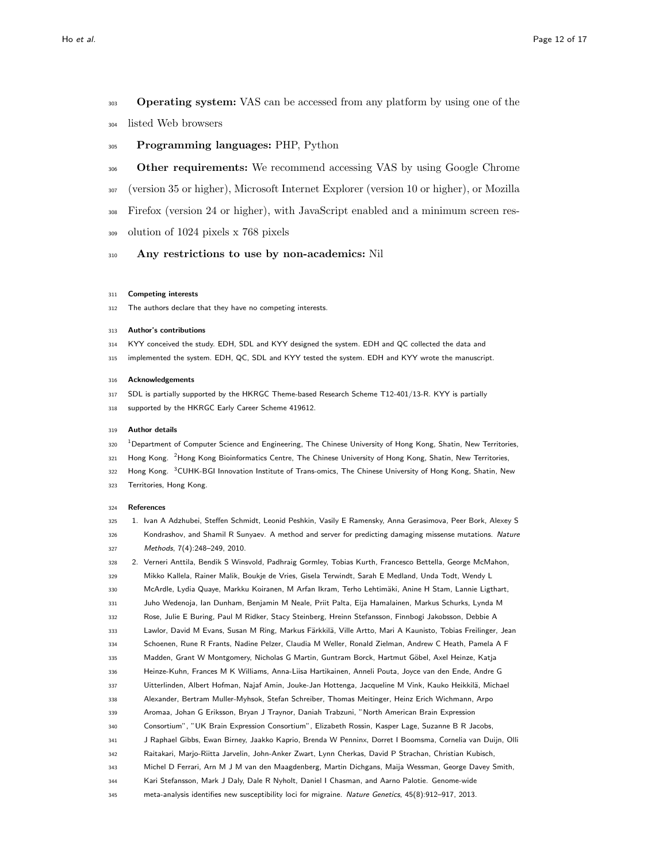**Operating system:** VAS can be accessed from any platform by using one of the

- listed Web browsers
- Programming languages: PHP, Python
- <sup>306</sup> Other requirements: We recommend accessing VAS by using Google Chrome
- (version 35 or higher), Microsoft Internet Explorer (version 10 or higher), or Mozilla
- Firefox (version 24 or higher), with JavaScript enabled and a minimum screen res-
- olution of 1024 pixels x 768 pixels
- 310 Any restrictions to use by non-academics: Nil

#### **Competing interests**

The authors declare that they have no competing interests.

#### Author's contributions

- KYY conceived the study. EDH, SDL and KYY designed the system. EDH and QC collected the data and
- implemented the system. EDH, QC, SDL and KYY tested the system. EDH and KYY wrote the manuscript.

#### Acknowledgements

- SDL is partially supported by the HKRGC Theme-based Research Scheme T12-401/13-R. KYY is partially
- supported by the HKRGC Early Career Scheme 419612.

#### 319 Author details

- 320 <sup>1</sup>Department of Computer Science and Engineering, The Chinese University of Hong Kong, Shatin, New Territories,
- 321 Hong Kong. <sup>2</sup> Hong Kong Bioinformatics Centre, The Chinese University of Hong Kong, Shatin, New Territories,
- 322 Hong Kong. <sup>3</sup>CUHK-BGI Innovation Institute of Trans-omics, The Chinese University of Hong Kong, Shatin, New Territories, Hong Kong.

# References

- 1. Ivan A Adzhubei, Steffen Schmidt, Leonid Peshkin, Vasily E Ramensky, Anna Gerasimova, Peer Bork, Alexey S 326 Kondrashov, and Shamil R Sunyaev. A method and server for predicting damaging missense mutations. Nature Methods, 7(4):248–249, 2010. 2. Verneri Anttila, Bendik S Winsvold, Padhraig Gormley, Tobias Kurth, Francesco Bettella, George McMahon, Mikko Kallela, Rainer Malik, Boukje de Vries, Gisela Terwindt, Sarah E Medland, Unda Todt, Wendy L 330 McArdle, Lydia Quaye, Markku Koiranen, M Arfan Ikram, Terho Lehtimäki, Anine H Stam, Lannie Ligthart, Juho Wedenoja, Ian Dunham, Benjamin M Neale, Priit Palta, Eija Hamalainen, Markus Schurks, Lynda M Rose, Julie E Buring, Paul M Ridker, Stacy Steinberg, Hreinn Stefansson, Finnbogi Jakobsson, Debbie A 333 Lawlor, David M Evans, Susan M Ring, Markus Färkkilä, Ville Artto, Mari A Kaunisto, Tobias Freilinger, Jean Schoenen, Rune R Frants, Nadine Pelzer, Claudia M Weller, Ronald Zielman, Andrew C Heath, Pamela A F 335 Madden, Grant W Montgomery, Nicholas G Martin, Guntram Borck, Hartmut Göbel, Axel Heinze, Katja Heinze-Kuhn, Frances M K Williams, Anna-Liisa Hartikainen, Anneli Pouta, Joyce van den Ende, Andre G 337 Uitterlinden, Albert Hofman, Najaf Amin, Jouke-Jan Hottenga, Jacqueline M Vink, Kauko Heikkilä, Michael Alexander, Bertram Muller-Myhsok, Stefan Schreiber, Thomas Meitinger, Heinz Erich Wichmann, Arpo Aromaa, Johan G Eriksson, Bryan J Traynor, Daniah Trabzuni, "North American Brain Expression
- Consortium", "UK Brain Expression Consortium", Elizabeth Rossin, Kasper Lage, Suzanne B R Jacobs,
- J Raphael Gibbs, Ewan Birney, Jaakko Kaprio, Brenda W Penninx, Dorret I Boomsma, Cornelia van Duijn, Olli
- Raitakari, Marjo-Riitta Jarvelin, John-Anker Zwart, Lynn Cherkas, David P Strachan, Christian Kubisch,
- Michel D Ferrari, Arn M J M van den Maagdenberg, Martin Dichgans, Maija Wessman, George Davey Smith,
- Kari Stefansson, Mark J Daly, Dale R Nyholt, Daniel I Chasman, and Aarno Palotie. Genome-wide
- meta-analysis identifies new susceptibility loci for migraine. Nature Genetics, 45(8):912–917, 2013.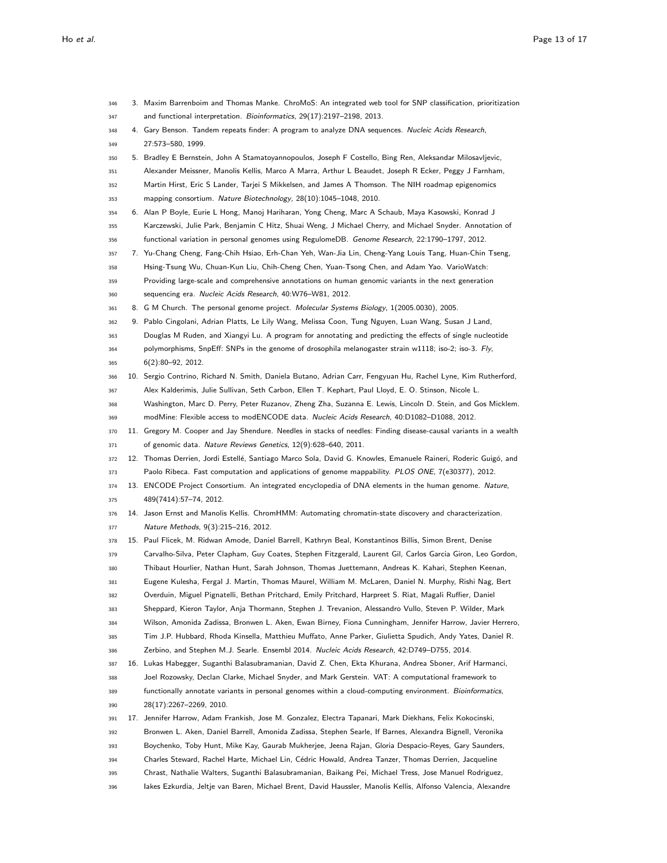| 346 |     | 3. Maxim Barrenboim and Thomas Manke. ChroMoS: An integrated web tool for SNP classification, prioritization      |
|-----|-----|-------------------------------------------------------------------------------------------------------------------|
| 347 |     | and functional interpretation. Bioinformatics, 29(17):2197-2198, 2013.                                            |
| 348 |     | 4. Gary Benson. Tandem repeats finder: A program to analyze DNA sequences. Nucleic Acids Research,                |
| 349 |     | 27:573-580, 1999.                                                                                                 |
| 350 |     | 5. Bradley E Bernstein, John A Stamatoyannopoulos, Joseph F Costello, Bing Ren, Aleksandar Milosavljevic,         |
| 351 |     | Alexander Meissner, Manolis Kellis, Marco A Marra, Arthur L Beaudet, Joseph R Ecker, Peggy J Farnham,             |
| 352 |     | Martin Hirst, Eric S Lander, Tarjei S Mikkelsen, and James A Thomson. The NIH roadmap epigenomics                 |
| 353 |     | mapping consortium. Nature Biotechnology, 28(10):1045-1048, 2010.                                                 |
| 354 |     | 6. Alan P Boyle, Eurie L Hong, Manoj Hariharan, Yong Cheng, Marc A Schaub, Maya Kasowski, Konrad J                |
| 355 |     | Karczewski, Julie Park, Benjamin C Hitz, Shuai Weng, J Michael Cherry, and Michael Snyder. Annotation of          |
| 356 |     | functional variation in personal genomes using RegulomeDB. Genome Research, 22:1790-1797, 2012.                   |
| 357 |     | 7. Yu-Chang Cheng, Fang-Chih Hsiao, Erh-Chan Yeh, Wan-Jia Lin, Cheng-Yang Louis Tang, Huan-Chin Tseng,            |
| 358 |     | Hsing-Tsung Wu, Chuan-Kun Liu, Chih-Cheng Chen, Yuan-Tsong Chen, and Adam Yao. VarioWatch:                        |
| 359 |     | Providing large-scale and comprehensive annotations on human genomic variants in the next generation              |
| 360 |     | sequencing era. Nucleic Acids Research, 40:W76-W81, 2012.                                                         |
| 361 |     | 8. G M Church. The personal genome project. Molecular Systems Biology, 1(2005.0030), 2005.                        |
| 362 |     | 9.  Pablo Cingolani, Adrian Platts, Le Lily Wang, Melissa Coon, Tung Nguyen, Luan Wang, Susan J Land,             |
| 363 |     | Douglas M Ruden, and Xiangyi Lu. A program for annotating and predicting the effects of single nucleotide         |
| 364 |     | polymorphisms, SnpEff: SNPs in the genome of drosophila melanogaster strain w1118; iso-2; iso-3. Fly,             |
| 365 |     | $6(2):80-92, 2012.$                                                                                               |
| 366 |     | 10.  Sergio Contrino, Richard N. Smith, Daniela Butano, Adrian Carr, Fengyuan Hu, Rachel Lyne, Kim Rutherford,    |
| 367 |     | Alex Kalderimis, Julie Sullivan, Seth Carbon, Ellen T. Kephart, Paul Lloyd, E. O. Stinson, Nicole L.              |
| 368 |     | Washington, Marc D. Perry, Peter Ruzanov, Zheng Zha, Suzanna E. Lewis, Lincoln D. Stein, and Gos Micklem.         |
| 369 |     | modMine: Flexible access to modENCODE data. Nucleic Acids Research, 40:D1082-D1088, 2012.                         |
| 370 |     | 11. Gregory M. Cooper and Jay Shendure. Needles in stacks of needles: Finding disease-causal variants in a wealth |
| 371 |     | of genomic data. Nature Reviews Genetics, 12(9):628-640, 2011.                                                    |
| 372 |     | 12. Thomas Derrien, Jordi Estellé, Santiago Marco Sola, David G. Knowles, Emanuele Raineri, Roderic Guigó, and    |
| 373 |     | Paolo Ribeca. Fast computation and applications of genome mappability. PLOS ONE, 7(e30377), 2012.                 |
| 374 |     | 13. ENCODE Project Consortium. An integrated encyclopedia of DNA elements in the human genome. Nature,            |
| 375 |     | 489(7414):57-74, 2012.                                                                                            |
| 376 |     | 14. Jason Ernst and Manolis Kellis. ChromHMM: Automating chromatin-state discovery and characterization.          |
| 377 |     | Nature Methods, 9(3):215-216, 2012.                                                                               |
| 378 |     | 15. Paul Flicek, M. Ridwan Amode, Daniel Barrell, Kathryn Beal, Konstantinos Billis, Simon Brent, Denise          |
| 379 |     | Carvalho-Silva, Peter Clapham, Guy Coates, Stephen Fitzgerald, Laurent Gil, Carlos Garcia Giron, Leo Gordon,      |
| 380 |     | Thibaut Hourlier, Nathan Hunt, Sarah Johnson, Thomas Juettemann, Andreas K. Kahari, Stephen Keenan,               |
| 381 |     | Eugene Kulesha, Fergal J. Martin, Thomas Maurel, William M. McLaren, Daniel N. Murphy, Rishi Nag, Bert            |
| 382 |     | Overduin, Miguel Pignatelli, Bethan Pritchard, Emily Pritchard, Harpreet S. Riat, Magali Ruffier, Daniel          |
| 383 |     | Sheppard, Kieron Taylor, Anja Thormann, Stephen J. Trevanion, Alessandro Vullo, Steven P. Wilder, Mark            |
| 384 |     | Wilson, Amonida Zadissa, Bronwen L. Aken, Ewan Birney, Fiona Cunningham, Jennifer Harrow, Javier Herrero,         |
| 385 |     | Tim J.P. Hubbard, Rhoda Kinsella, Matthieu Muffato, Anne Parker, Giulietta Spudich, Andy Yates, Daniel R.         |
| 386 |     | Zerbino, and Stephen M.J. Searle. Ensembl 2014. Nucleic Acids Research, 42:D749–D755, 2014.                       |
| 387 | 16. | Lukas Habegger, Suganthi Balasubramanian, David Z. Chen, Ekta Khurana, Andrea Sboner, Arif Harmanci,              |
| 388 |     | Joel Rozowsky, Declan Clarke, Michael Snyder, and Mark Gerstein. VAT: A computational framework to                |
| 389 |     | functionally annotate variants in personal genomes within a cloud-computing environment. <i>Bioinformatics</i> ,  |
| 390 |     | 28(17):2267-2269, 2010.                                                                                           |
| 391 | 17. | Jennifer Harrow, Adam Frankish, Jose M. Gonzalez, Electra Tapanari, Mark Diekhans, Felix Kokocinski,              |
| 392 |     | Bronwen L. Aken, Daniel Barrell, Amonida Zadissa, Stephen Searle, If Barnes, Alexandra Bignell, Veronika          |
| 393 |     | Boychenko, Toby Hunt, Mike Kay, Gaurab Mukherjee, Jeena Rajan, Gloria Despacio-Reyes, Gary Saunders,              |
| 394 |     | Charles Steward, Rachel Harte, Michael Lin, Cédric Howald, Andrea Tanzer, Thomas Derrien, Jacqueline              |
| 395 |     | Chrast, Nathalie Walters, Suganthi Balasubramanian, Baikang Pei, Michael Tress, Jose Manuel Rodriguez,            |

Iakes Ezkurdia, Jeltje van Baren, Michael Brent, David Haussler, Manolis Kellis, Alfonso Valencia, Alexandre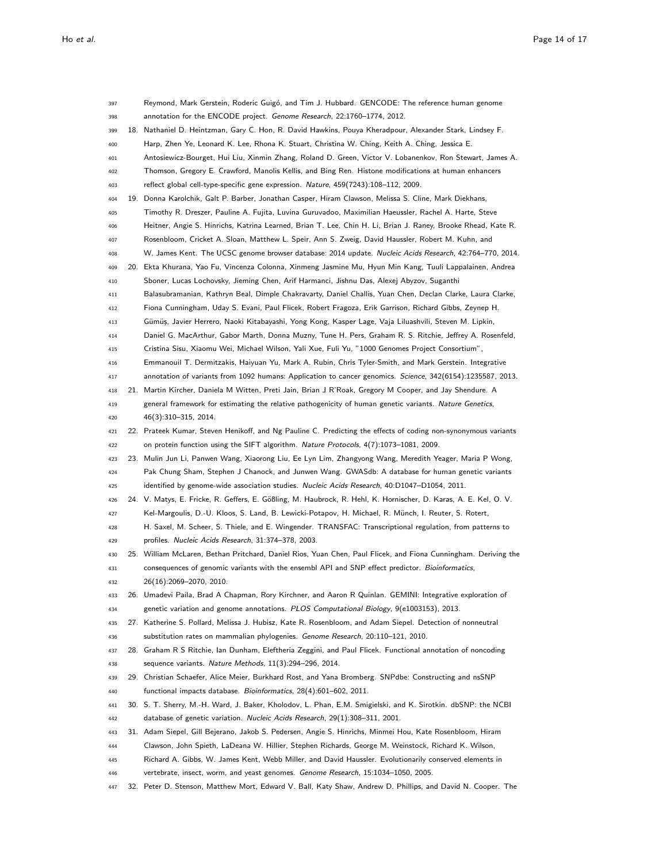| 397 |     | Reymond, Mark Gerstein, Roderic Guigó, and Tim J. Hubbard. GENCODE: The reference human genome                    |
|-----|-----|-------------------------------------------------------------------------------------------------------------------|
| 398 |     | annotation for the ENCODE project. Genome Research, 22:1760–1774, 2012.                                           |
| 399 |     | 18. Nathaniel D. Heintzman, Gary C. Hon, R. David Hawkins, Pouya Kheradpour, Alexander Stark, Lindsey F.          |
| 400 |     | Harp, Zhen Ye, Leonard K. Lee, Rhona K. Stuart, Christina W. Ching, Keith A. Ching, Jessica E.                    |
| 401 |     | Antosiewicz-Bourget, Hui Liu, Xinmin Zhang, Roland D. Green, Victor V. Lobanenkov, Ron Stewart, James A.          |
| 402 |     | Thomson, Gregory E. Crawford, Manolis Kellis, and Bing Ren. Histone modifications at human enhancers              |
| 403 |     | reflect global cell-type-specific gene expression. Nature, 459(7243):108-112, 2009.                               |
| 404 | 19. | Donna Karolchik, Galt P. Barber, Jonathan Casper, Hiram Clawson, Melissa S. Cline, Mark Diekhans,                 |
| 405 |     | Timothy R. Dreszer, Pauline A. Fujita, Luvina Guruvadoo, Maximilian Haeussler, Rachel A. Harte, Steve             |
| 406 |     | Heitner, Angie S. Hinrichs, Katrina Learned, Brian T. Lee, Chin H. Li, Brian J. Raney, Brooke Rhead, Kate R.      |
| 407 |     | Rosenbloom, Cricket A. Sloan, Matthew L. Speir, Ann S. Zweig, David Haussler, Robert M. Kuhn, and                 |
| 408 |     | W. James Kent. The UCSC genome browser database: 2014 update. Nucleic Acids Research, 42:764–770, 2014.           |
| 409 |     | 20.  Ekta Khurana, Yao Fu, Vincenza Colonna, Xinmeng Jasmine Mu, Hyun Min Kang, Tuuli Lappalainen, Andrea         |
| 410 |     | Sboner, Lucas Lochovsky, Jieming Chen, Arif Harmanci, Jishnu Das, Alexej Abyzov, Suganthi                         |
| 411 |     | Balasubramanian, Kathryn Beal, Dimple Chakravarty, Daniel Challis, Yuan Chen, Declan Clarke, Laura Clarke,        |
|     |     | Fiona Cunningham, Uday S. Evani, Paul Flicek, Robert Fragoza, Erik Garrison, Richard Gibbs, Zeynep H.             |
| 412 |     |                                                                                                                   |
| 413 |     | Gümüş, Javier Herrero, Naoki Kitabayashi, Yong Kong, Kasper Lage, Vaja Liluashvili, Steven M. Lipkin,             |
| 414 |     | Daniel G. MacArthur, Gabor Marth, Donna Muzny, Tune H. Pers, Graham R. S. Ritchie, Jeffrey A. Rosenfeld,          |
| 415 |     | , "Cristina Sisu, Xiaomu Wei, Michael Wilson, Yali Xue, Fuli Yu, "1000 Genomes Project Consortium                 |
| 416 |     | Emmanouil T. Dermitzakis, Haiyuan Yu, Mark A. Rubin, Chris Tyler-Smith, and Mark Gerstein. Integrative            |
| 417 |     | annotation of variants from 1092 humans: Application to cancer genomics. Science, 342(6154):1235587, 2013.        |
| 418 |     | 21. Martin Kircher, Daniela M Witten, Preti Jain, Brian J R'Roak, Gregory M Cooper, and Jay Shendure. A           |
| 419 |     | general framework for estimating the relative pathogenicity of human genetic variants. Nature Genetics,           |
| 420 |     | 46(3):310-315, 2014.                                                                                              |
| 421 |     | 22. Prateek Kumar, Steven Henikoff, and Ng Pauline C. Predicting the effects of coding non-synonymous variants    |
| 422 |     | on protein function using the SIFT algorithm. Nature Protocols, 4(7):1073-1081, 2009.                             |
| 423 | 23. | Mulin Jun Li, Panwen Wang, Xiaorong Liu, Ee Lyn Lim, Zhangyong Wang, Meredith Yeager, Maria P Wong,               |
| 424 |     | Pak Chung Sham, Stephen J Chanock, and Junwen Wang. GWASdb: A database for human genetic variants                 |
| 425 |     | identified by genome-wide association studies. Nucleic Acids Research, 40:D1047–D1054, 2011.                      |
| 426 |     | 24.  V. Matys, E. Fricke, R. Geffers, E. Gößling, M. Haubrock, R. Hehl, K. Hornischer, D. Karas, A. E. Kel, O. V. |
| 427 |     | Kel-Margoulis, D.-U. Kloos, S. Land, B. Lewicki-Potapov, H. Michael, R. Münch, I. Reuter, S. Rotert,              |
| 428 |     | H. Saxel, M. Scheer, S. Thiele, and E. Wingender. TRANSFAC: Transcriptional regulation, from patterns to          |
| 429 |     | profiles. Nucleic Acids Research, 31:374–378, 2003.                                                               |
| 430 |     | 25. William McLaren, Bethan Pritchard, Daniel Rios, Yuan Chen, Paul Flicek, and Fiona Cunningham. Deriving the    |
| 431 |     | consequences of genomic variants with the ensembl API and SNP effect predictor. Bioinformatics,                   |
| 432 |     | 26(16):2069-2070, 2010.                                                                                           |
| 433 |     | 26. Umadevi Paila, Brad A Chapman, Rory Kirchner, and Aaron R Quinlan. GEMINI: Integrative exploration of         |
| 434 |     | genetic variation and genome annotations. PLOS Computational Biology, 9(e1003153), 2013.                          |
| 435 |     | 27. Katherine S. Pollard, Melissa J. Hubisz, Kate R. Rosenbloom, and Adam Siepel. Detection of nonneutral         |
| 436 |     | substitution rates on mammalian phylogenies. Genome Research, 20:110–121, 2010.                                   |
| 437 | 28. | Graham R S Ritchie, Ian Dunham, Eleftheria Zeggini, and Paul Flicek. Functional annotation of noncoding           |
| 438 |     | sequence variants. Nature Methods, 11(3):294-296, 2014.                                                           |
| 439 | 29. | Christian Schaefer, Alice Meier, Burkhard Rost, and Yana Bromberg. SNPdbe: Constructing and nsSNP                 |
| 440 |     | functional impacts database. <i>Bioinformatics</i> , 28(4):601–602, 2011.                                         |
| 441 |     | 30. S. T. Sherry, M.-H. Ward, J. Baker, Kholodov, L. Phan, E.M. Smigielski, and K. Sirotkin. dbSNP: the NCBI      |
|     |     | database of genetic variation. Nucleic Acids Research, 29(1):308-311, 2001.                                       |
| 442 |     |                                                                                                                   |
| 443 |     | 31. Adam Siepel, Gill Bejerano, Jakob S. Pedersen, Angie S. Hinrichs, Minmei Hou, Kate Rosenbloom, Hiram          |
| 444 |     | Clawson, John Spieth, LaDeana W. Hillier, Stephen Richards, George M. Weinstock, Richard K. Wilson,               |
| 445 |     | Richard A. Gibbs, W. James Kent, Webb Miller, and David Haussler. Evolutionarily conserved elements in            |
| 446 |     | vertebrate, insect, worm, and yeast genomes. Genome Research, 15:1034-1050, 2005.                                 |
| 447 | 32. | Peter D. Stenson, Matthew Mort, Edward V. Ball, Katy Shaw, Andrew D. Phillips, and David N. Cooper. The           |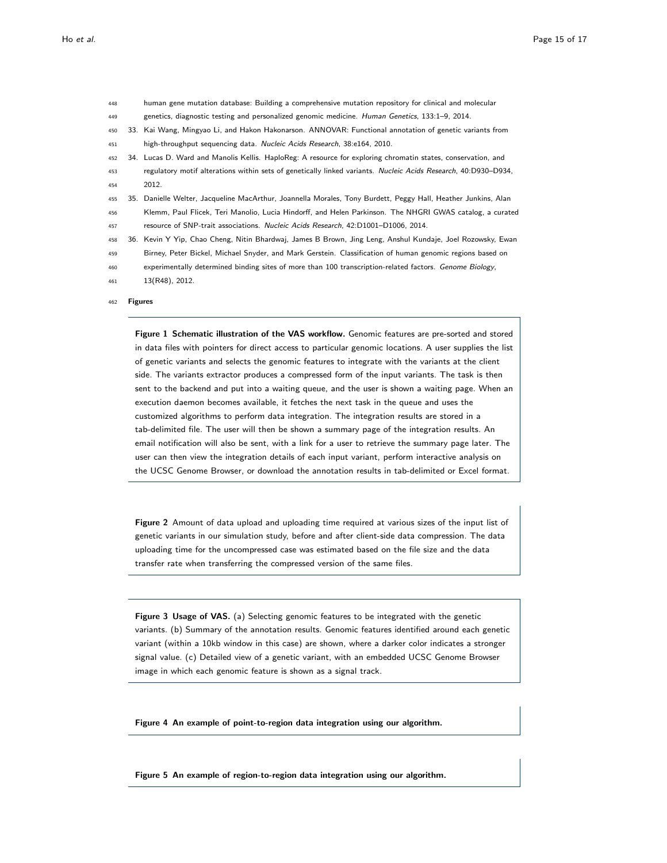| 448 | human gene mutation database: Building a comprehensive mutation repository for clinical and molecular          |
|-----|----------------------------------------------------------------------------------------------------------------|
| 449 | genetics, diagnostic testing and personalized genomic medicine. Human Genetics, 133:1-9, 2014.                 |
| 450 | 33. Kai Wang, Mingyao Li, and Hakon Hakonarson. ANNOVAR: Functional annotation of genetic variants from        |
| 451 | high-throughput sequencing data. Nucleic Acids Research, 38:e164, 2010.                                        |
| 452 | 34. Lucas D. Ward and Manolis Kellis. HaploReg: A resource for exploring chromatin states, conservation, and   |
| 453 | regulatory motif alterations within sets of genetically linked variants. Nucleic Acids Research, 40:D930-D934, |
| 454 | 2012.                                                                                                          |
| 455 | 35. Danielle Welter, Jacqueline MacArthur, Joannella Morales, Tony Burdett, Peggy Hall, Heather Junkins, Alan  |
| 456 | Klemm, Paul Flicek, Teri Manolio, Lucia Hindorff, and Helen Parkinson. The NHGRI GWAS catalog, a curated       |
| 457 | resource of SNP-trait associations. Nucleic Acids Research, 42:D1001-D1006, 2014.                              |
| 458 | 36. Kevin Y Yip, Chao Cheng, Nitin Bhardwaj, James B Brown, Jing Leng, Anshul Kundaje, Joel Rozowsky, Ewan     |
| 459 | Birney, Peter Bickel, Michael Snyder, and Mark Gerstein. Classification of human genomic regions based on      |
| 460 | experimentally determined binding sites of more than 100 transcription-related factors. Genome Biology,        |
| 461 | 13(R48), 2012.                                                                                                 |
|     |                                                                                                                |

#### 462 Figures

Figure 1 Schematic illustration of the VAS workflow. Genomic features are pre-sorted and stored in data files with pointers for direct access to particular genomic locations. A user supplies the list of genetic variants and selects the genomic features to integrate with the variants at the client side. The variants extractor produces a compressed form of the input variants. The task is then sent to the backend and put into a waiting queue, and the user is shown a waiting page. When an execution daemon becomes available, it fetches the next task in the queue and uses the customized algorithms to perform data integration. The integration results are stored in a tab-delimited file. The user will then be shown a summary page of the integration results. An email notification will also be sent, with a link for a user to retrieve the summary page later. The user can then view the integration details of each input variant, perform interactive analysis on the UCSC Genome Browser, or download the annotation results in tab-delimited or Excel format.

Figure 2 Amount of data upload and uploading time required at various sizes of the input list of genetic variants in our simulation study, before and after client-side data compression. The data uploading time for the uncompressed case was estimated based on the file size and the data transfer rate when transferring the compressed version of the same files.

Figure 3 Usage of VAS. (a) Selecting genomic features to be integrated with the genetic variants. (b) Summary of the annotation results. Genomic features identified around each genetic variant (within a 10kb window in this case) are shown, where a darker color indicates a stronger signal value. (c) Detailed view of a genetic variant, with an embedded UCSC Genome Browser image in which each genomic feature is shown as a signal track.

Figure 4 An example of point-to-region data integration using our algorithm.

Figure 5 An example of region-to-region data integration using our algorithm.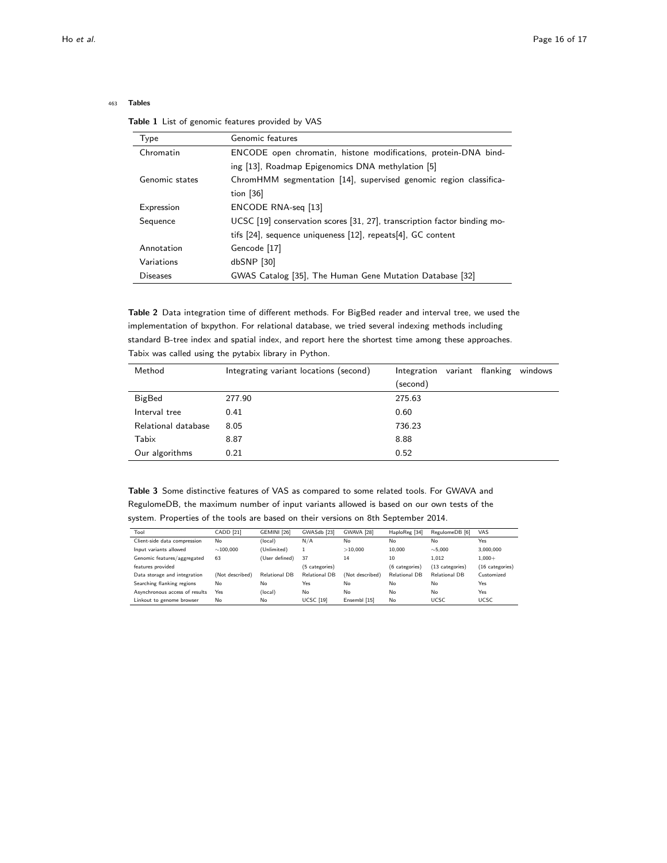### 463 Tables

Table 1 List of genomic features provided by VAS

| Type            | Genomic features                                                         |  |  |  |
|-----------------|--------------------------------------------------------------------------|--|--|--|
| Chromatin       | ENCODE open chromatin, histone modifications, protein-DNA bind-          |  |  |  |
|                 | ing [13], Roadmap Epigenomics DNA methylation [5]                        |  |  |  |
| Genomic states  | ChromHMM segmentation [14], supervised genomic region classifica-        |  |  |  |
|                 | tion $[36]$                                                              |  |  |  |
| Expression      | ENCODE RNA-seq [13]                                                      |  |  |  |
| Sequence        | UCSC [19] conservation scores [31, 27], transcription factor binding mo- |  |  |  |
|                 | tifs [24], sequence uniqueness [12], repeats[4], GC content              |  |  |  |
| Annotation      | Gencode [17]                                                             |  |  |  |
| Variations      | $dbSNP$ [30]                                                             |  |  |  |
| <b>Diseases</b> | GWAS Catalog [35], The Human Gene Mutation Database [32]                 |  |  |  |

Table 2 Data integration time of different methods. For BigBed reader and interval tree, we used the implementation of bxpython. For relational database, we tried several indexing methods including standard B-tree index and spatial index, and report here the shortest time among these approaches. Tabix was called using the pytabix library in Python.

| Method              | Integrating variant locations (second) | variant flanking<br>windows<br>Integration |
|---------------------|----------------------------------------|--------------------------------------------|
|                     |                                        | (second)                                   |
| <b>BigBed</b>       | 277.90                                 | 275.63                                     |
| Interval tree       | 0.41                                   | 0.60                                       |
| Relational database | 8.05                                   | 736.23                                     |
| Tabix               | 8.87                                   | 8.88                                       |
| Our algorithms      | 0.21                                   | 0.52                                       |

Table 3 Some distinctive features of VAS as compared to some related tools. For GWAVA and RegulomeDB, the maximum number of input variants allowed is based on our own tests of the system. Properties of the tools are based on their versions on 8th September 2014.

| Tool                           | CADD [21]       | GEMINI [26]    | GWASdb [23]      | GWAVA [28]      | HaploReg [34]  | RegulomeDB [6]       | VAS             |
|--------------------------------|-----------------|----------------|------------------|-----------------|----------------|----------------------|-----------------|
| Client-side data compression   | No              | (local)        | N/A              | No              | No             | No                   | Yes             |
| Input variants allowed         | ${\sim}100.000$ | (Unlimited)    |                  | >10.000         | 10.000         | $\sim$ 5.000         | 3.000.000       |
| Genomic features/aggregated    | 63              | (User defined) | 37               | 14              | 10             | 1.012                | $1,000+$        |
| features provided              |                 |                | (5 categories)   |                 | (6 categories) | (13 categories)      | (16 categories) |
| Data storage and integration   | (Not described) | Relational DB  | Relational DB    | (Not described) | Relational DB  | <b>Relational DB</b> | Customized      |
| Searching flanking regions     | No              | No             | Yes              | No              | No             | No                   | Yes             |
| Asynchronous access of results | Yes             | (local)        | No               | No              | No             | No                   | Yes             |
| Linkout to genome browser      | No              | No             | <b>UCSC</b> [19] | Ensembl [15]    | No             | <b>UCSC</b>          | <b>UCSC</b>     |